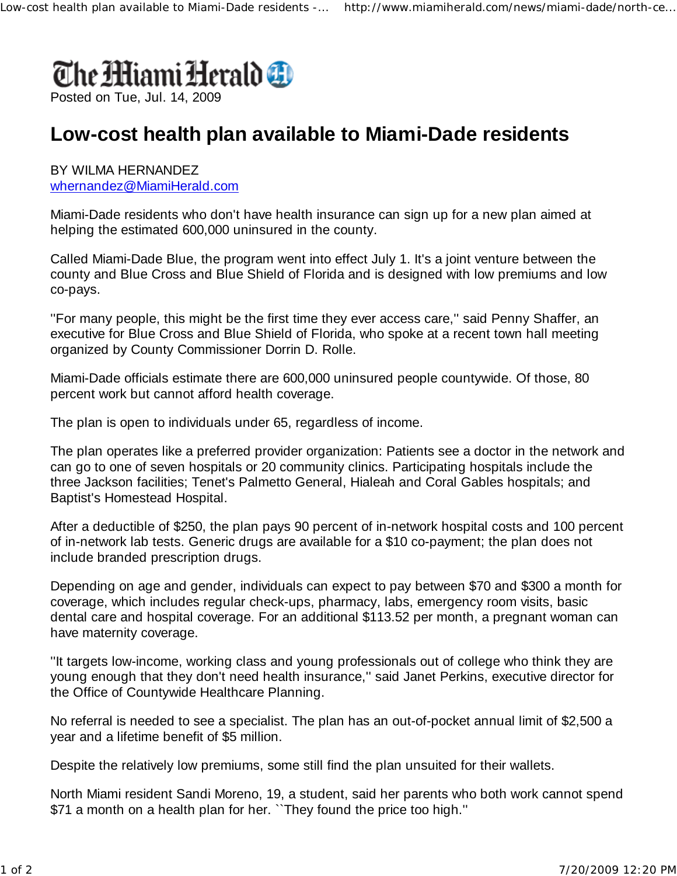

## **Low-cost health plan available to Miami-Dade residents**

## BY WILMA HERNANDEZ whernandez@MiamiHerald.com

Miami-Dade residents who don't have health insurance can sign up for a new plan aimed at helping the estimated 600,000 uninsured in the county.

Called Miami-Dade Blue, the program went into effect July 1. It's a joint venture between the county and Blue Cross and Blue Shield of Florida and is designed with low premiums and low co-pays.

''For many people, this might be the first time they ever access care,'' said Penny Shaffer, an executive for Blue Cross and Blue Shield of Florida, who spoke at a recent town hall meeting organized by County Commissioner Dorrin D. Rolle.

Miami-Dade officials estimate there are 600,000 uninsured people countywide. Of those, 80 percent work but cannot afford health coverage.

The plan is open to individuals under 65, regardless of income.

The plan operates like a preferred provider organization: Patients see a doctor in the network and can go to one of seven hospitals or 20 community clinics. Participating hospitals include the three Jackson facilities; Tenet's Palmetto General, Hialeah and Coral Gables hospitals; and Baptist's Homestead Hospital.

After a deductible of \$250, the plan pays 90 percent of in-network hospital costs and 100 percent of in-network lab tests. Generic drugs are available for a \$10 co-payment; the plan does not include branded prescription drugs.

Depending on age and gender, individuals can expect to pay between \$70 and \$300 a month for coverage, which includes regular check-ups, pharmacy, labs, emergency room visits, basic dental care and hospital coverage. For an additional \$113.52 per month, a pregnant woman can have maternity coverage.

''It targets low-income, working class and young professionals out of college who think they are young enough that they don't need health insurance,'' said Janet Perkins, executive director for the Office of Countywide Healthcare Planning.

No referral is needed to see a specialist. The plan has an out-of-pocket annual limit of \$2,500 a year and a lifetime benefit of \$5 million.

Despite the relatively low premiums, some still find the plan unsuited for their wallets.

North Miami resident Sandi Moreno, 19, a student, said her parents who both work cannot spend \$71 a month on a health plan for her. ``They found the price too high.''